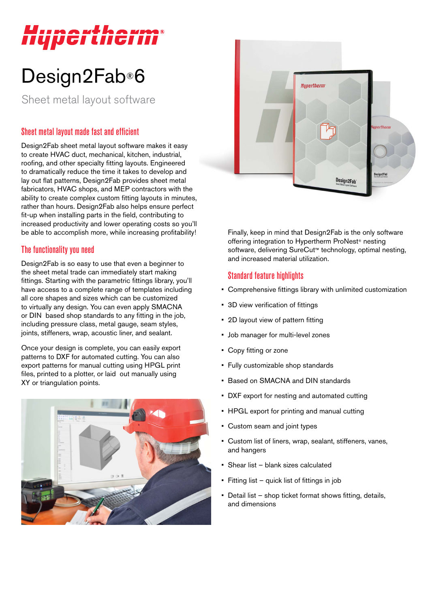# *Hupertherm®*

## Design2Fab®6

Sheet metal layout software

### Sheet metal layout made fast and efficient

Design2Fab sheet metal layout software makes it easy to create HVAC duct, mechanical, kitchen, industrial, roofing, and other specialty fitting layouts. Engineered to dramatically reduce the time it takes to develop and lay out flat patterns, Design2Fab provides sheet metal fabricators, HVAC shops, and MEP contractors with the ability to create complex custom fitting layouts in minutes, rather than hours. Design2Fab also helps ensure perfect fit-up when installing parts in the field, contributing to increased productivity and lower operating costs so you'll be able to accomplish more, while increasing profitability!

#### The functionality you need

Design2Fab is so easy to use that even a beginner to the sheet metal trade can immediately start making fittings. Starting with the parametric fittings library, you'll have access to a complete range of templates including all core shapes and sizes which can be customized to virtually any design. You can even apply SMACNA or DIN based shop standards to any fitting in the job, including pressure class, metal gauge, seam styles, joints, stiffeners, wrap, acoustic liner, and sealant.

Once your design is complete, you can easily export patterns to DXF for automated cutting. You can also export patterns for manual cutting using HPGL print files, printed to a plotter, or laid out manually using XY or triangulation points.





Finally, keep in mind that Design2Fab is the only software offering integration to Hypertherm ProNest® nesting software, delivering SureCut™ technology, optimal nesting, and increased material utilization.

#### Standard feature highlights

- Comprehensive fittings library with unlimited customization
- 3D view verification of fittings
- 2D layout view of pattern fitting
- Job manager for multi-level zones
- Copy fitting or zone
- Fully customizable shop standards
- Based on SMACNA and DIN standards
- DXF export for nesting and automated cutting
- HPGL export for printing and manual cutting
- Custom seam and joint types
- Custom list of liners, wrap, sealant, stiffeners, vanes, and hangers
- Shear list blank sizes calculated
- Fitting list quick list of fittings in job
- Detail list shop ticket format shows fitting, details, and dimensions